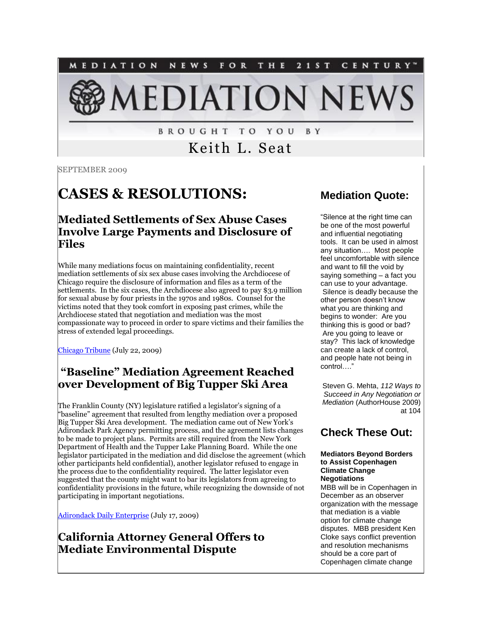NEWS FOR THE 21ST CENTURY" MEDIATION **LEDIATION NEV** 

> **BROUGHT TO YOU** B Y

> > Keith L. Seat

SEPTEMBER 2009

# **CASES & RESOLUTIONS:**

#### **Mediated Settlements of Sex Abuse Cases Involve Large Payments and Disclosure of Files**

While many mediations focus on maintaining confidentiality, recent mediation settlements of six sex abuse cases involving the Archdiocese of Chicago require the disclosure of information and files as a term of the settlements. In the six cases, the Archdiocese also agreed to pay \$3.9 million for sexual abuse by four priests in the 1970s and 1980s. Counsel for the victims noted that they took comfort in exposing past crimes, while the Archdiocese stated that negotiation and mediation was the most compassionate way to proceed in order to spare victims and their families the stress of extended legal proceedings.

[Chicago Tribune](http://tinyurl.com/nejtqa) (July 22, 2009)

### **"Baseline" Mediation Agreement Reached over Development of Big Tupper Ski Area**

The Franklin County (NY) legislature ratified a legislator's signing of a "baseline" agreement that resulted from lengthy mediation over a proposed Big Tupper Ski Area development. The mediation came out of New York's Adirondack Park Agency permitting process, and the agreement lists changes to be made to project plans. Permits are still required from the New York Department of Health and the Tupper Lake Planning Board. While the one legislator participated in the mediation and did disclose the agreement (which other participants held confidential), another legislator refused to engage in the process due to the confidentiality required. The latter legislator even suggested that the county might want to bar its legislators from agreeing to confidentiality provisions in the future, while recognizing the downside of not participating in important negotiations.

[Adirondack Daily Enterprise](http://tinyurl.com/ndrh4y) (July 17, 2009)

### **California Attorney General Offers to Mediate Environmental Dispute**

#### **Mediation Quote:**

"Silence at the right time can be one of the most powerful and influential negotiating tools. It can be used in almost any situation…. Most people feel uncomfortable with silence and want to fill the void by saying something – a fact you can use to your advantage. Silence is deadly because the other person doesn't know what you are thinking and begins to wonder: Are you thinking this is good or bad? Are you going to leave or stay? This lack of knowledge can create a lack of control, and people hate not being in control…."

Steven G. Mehta, *112 Ways to Succeed in Any Negotiation or Mediation* (AuthorHouse 2009) at 104

### **Check These Out:**

#### **Mediators Beyond Borders to Assist Copenhagen Climate Change Negotiations**

MBB will be in Copenhagen in December as an observer organization with the message that mediation is a viable option for climate change disputes. MBB president Ken Cloke says conflict prevention and resolution mechanisms should be a core part of Copenhagen climate change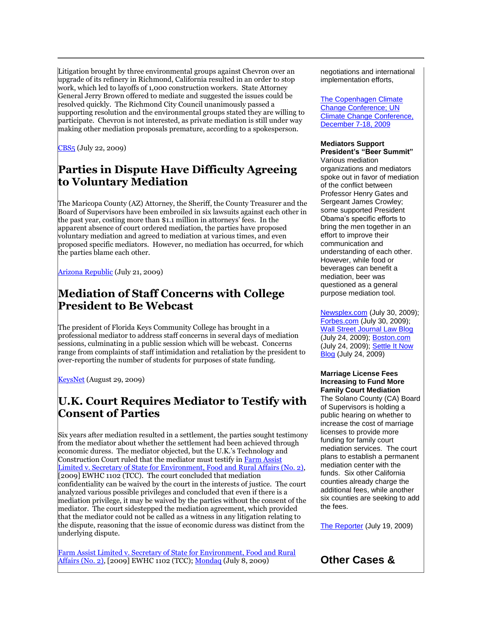Litigation brought by three environmental groups against Chevron over an upgrade of its refinery in Richmond, California resulted in an order to stop work, which led to layoffs of 1,000 construction workers. State Attorney General Jerry Brown offered to mediate and suggested the issues could be resolved quickly. The Richmond City Council unanimously passed a supporting resolution and the environmental groups stated they are willing to participate. Chevron is not interested, as private mediation is still under way making other mediation proposals premature, according to a spokesperson.

[CBS5](http://cbs5.com/local/richmond.chevron.refinery.2.1097400.html) (July 22, 2009)

### **Parties in Dispute Have Difficulty Agreeing to Voluntary Mediation**

The Maricopa County (AZ) Attorney, the Sheriff, the County Treasurer and the Board of Supervisors have been embroiled in six lawsuits against each other in the past year, costing more than \$1.1 million in attorneys' fees. In the apparent absence of court ordered mediation, the parties have proposed voluntary mediation and agreed to mediation at various times, and even proposed specific mediators. However, no mediation has occurred, for which the parties blame each other.

[Arizona Republic](http://tinyurl.com/m3mwhl) (July 21, 2009)

#### **Mediation of Staff Concerns with College President to Be Webcast**

The president of Florida Keys Community College has brought in a professional mediator to address staff concerns in several days of mediation sessions, culminating in a public session which will be webcast. Concerns range from complaints of staff intimidation and retaliation by the president to over-reporting the number of students for purposes of state funding.

[KeysNet](http://www.keysnet.com/news/story/135070.html) (August 29, 2009)

### **U.K. Court Requires Mediator to Testify with Consent of Parties**

Six years after mediation resulted in a settlement, the parties sought testimony from the mediator about whether the settlement had been achieved through economic duress. The mediator objected, but the U.K.'s Technology and Construction Court ruled that the mediator must testify i[n Farm Assist](http://www.mediatewithcornes.co.uk/Farm%20Assist%202.doc)  [Limited v. Secretary of State for Environment, Food and Rural Affairs \(No. 2\),](http://www.mediatewithcornes.co.uk/Farm%20Assist%202.doc) [2009] EWHC 1102 (TCC). The court concluded that mediation confidentiality can be waived by the court in the interests of justice. The court analyzed various possible privileges and concluded that even if there is a mediation privilege, it may be waived by the parties without the consent of the mediator. The court sidestepped the mediation agreement, which provided that the mediator could not be called as a witness in any litigation relating to the dispute, reasoning that the issue of economic duress was distinct from the underlying dispute.

[Farm Assist Limited v. Secretary of State for Environment, Food and Rural](http://www.mediatewithcornes.co.uk/Farm%20Assist%202.doc)  [Affairs \(No. 2\),](http://www.mediatewithcornes.co.uk/Farm%20Assist%202.doc) [2009] EWHC 1102 (TCC)[; Mondaq](http://web2.westlaw.com/find/default.wl?rs=WLW9.06&ifm=NotSet&fn=_top&sv=Split&findjuris=00001&cite=2009+WLNR+12997679&vr=2.0&rp=%2ffind%2fdefault.wl&mt=208) (July 8, 2009)

negotiations and international implementation efforts,

[The Copenhagen Climate](http://mbbinfo.org/wp1-mediators-beyond-borders/?p=435#more-435)  [Change Conference; UN](http://mbbinfo.org/wp1-mediators-beyond-borders/?p=435#more-435)  Climate Change Conference, December 7-18, 2009

#### **Mediators Support President's "Beer Summit"**

Various mediation organizations and mediators spoke out in favor of mediation of the conflict between Professor Henry Gates and Sergeant James Crowley; some supported President Obama's specific efforts to bring the men together in an effort to improve their communication and understanding of each other. However, while food or beverages can benefit a mediation, beer was questioned as a general purpose mediation tool.

[Newsplex.com](http://www.charlottesvillenewsplex.tv/news/headlines/52099717.html) (July 30, 2009); [Forbes.com](http://tinyurl.com/loyu5s) (July 30, 2009); [Wall Street Journal Law Blog](http://tinyurl.com/mpz68e) (July 24, 2009); [Boston.com](http://tinyurl.com/lootjg) (July 24, 2009); [Settle It Now](http://tinyurl.com/mx6exr)  [Blog](http://tinyurl.com/mx6exr) (July 24, 2009)

#### **Marriage License Fees Increasing to Fund More Family Court Mediation**

The Solano County (CA) Board of Supervisors is holding a public hearing on whether to increase the cost of marriage licenses to provide more funding for family court mediation services. The court plans to establish a permanent mediation center with the funds. Six other California counties already charge the additional fees, while another six counties are seeking to add the fees.

[The Reporter](http://www.thereporter.com/news/ci_12870335) (July 19, 2009)

**Other Cases &**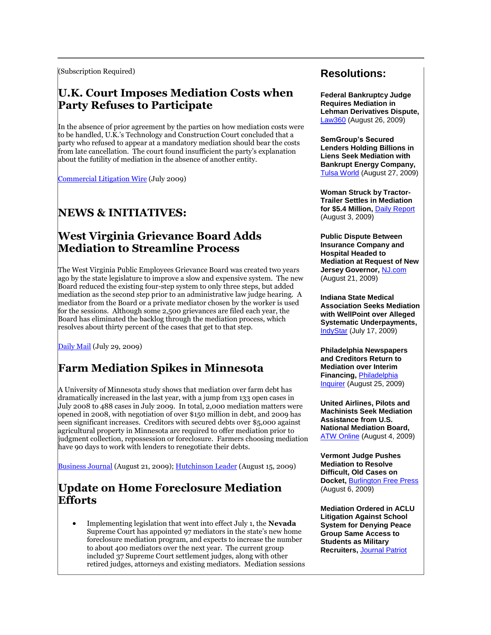(Subscription Required)

#### **U.K. Court Imposes Mediation Costs when Party Refuses to Participate**

In the absence of prior agreement by the parties on how mediation costs were to be handled, U.K.'s Technology and Construction Court concluded that a party who refused to appear at a mandatory mediation should bear the costs from late cancellation. The court found insufficient the party's explanation about the futility of mediation in the absence of another entity.

[Commercial Litigation Wire](http://www.dac.co.uk/documents/resources/newsletters/Recovering_costs_of_mediation) (July 2009)

# **NEWS & INITIATIVES:**

#### **West Virginia Grievance Board Adds Mediation to Streamline Process**

The West Virginia Public Employees Grievance Board was created two years ago by the state legislature to improve a slow and expensive system. The new Board reduced the existing four-step system to only three steps, but added mediation as the second step prior to an administrative law judge hearing. A mediator from the Board or a private mediator chosen by the worker is used for the sessions. Although some 2,500 grievances are filed each year, the Board has eliminated the backlog through the mediation process, which resolves about thirty percent of the cases that get to that step.

[Daily Mail](http://www.dailymail.com/News/statenews/200907280850) (July 29, 2009)

# **Farm Mediation Spikes in Minnesota**

A University of Minnesota study shows that mediation over farm debt has dramatically increased in the last year, with a jump from 133 open cases in July 2008 to 488 cases in July 2009. In total, 2,000 mediation matters were opened in 2008, with negotiation of over \$150 million in debt, and 2009 has seen significant increases. Creditors with secured debts over \$5,000 against agricultural property in Minnesota are required to offer mediation prior to judgment collection, repossession or foreclosure. Farmers choosing mediation have 90 days to work with lenders to renegotiate their debts.

[Business Journal](http://www.bizjournals.com/twincities/stories/2009/08/17/daily53.html) (August 21, 2009); [Hutchinson Leader](http://www.hutchinsonleader.com/farm-mediation-still-available-option-108) (August 15, 2009)

#### **Update on Home Foreclosure Mediation Efforts**

 Implementing legislation that went into effect July 1, the **Nevada** Supreme Court has appointed 97 mediators in the state's new home foreclosure mediation program, and expects to increase the number to about 400 mediators over the next year. The current group included 37 Supreme Court settlement judges, along with other retired judges, attorneys and existing mediators. Mediation sessions

#### **Resolutions:**

**Federal Bankruptcy Judge Requires Mediation in Lehman Derivatives Dispute,**  [Law360](http://bankruptcy.law360.com/registrations/user_registration?article_id=118654&concurrency_check=false) (August 26, 2009)

**SemGroup's Secured Lenders Holding Billions in Liens Seek Mediation with Bankrupt Energy Company,**  [Tulsa World](http://tinyurl.com/nu4xzs) (August 27, 2009)

**Woman Struck by Tractor-Trailer Settles in Mediation for \$5.4 Million,** [Daily Report](http://tinyurl.com/ktadc9) (August 3, 2009)

**Public Dispute Between Insurance Company and Hospital Headed to Mediation at Request of New Jersey Governor,** [NJ.com](http://tinyurl.com/kj2er9) (August 21, 2009)

**Indiana State Medical Association Seeks Mediation with WellPoint over Alleged Systematic Underpayments,**  [IndyStar](http://tinyurl.com/lqeum4) (July 17, 2009)

**Philadelphia Newspapers and Creditors Return to Mediation over Interim Financing,** [Philadelphia](http://tinyurl.com/ks2pgx)  [Inquirer](http://tinyurl.com/ks2pgx) (August 25, 2009)

**United Airlines, Pilots and Machinists Seek Mediation Assistance from U.S. National Mediation Board,**  [ATW Online](http://atwonline.com/news/other.html?issueDate=8%2F4%2F2009) (August 4, 2009)

**Vermont Judge Pushes Mediation to Resolve Difficult, Old Cases on Docket,** [Burlington Free Press](http://tinyurl.com/kr2gl5) (August 6, 2009)

**Mediation Ordered in ACLU Litigation Against School System for Denying Peace Group Same Access to Students as Military Recruiters,** [Journal Patriot](http://www.journalpatriot.com/fullstory.asp?id=1574)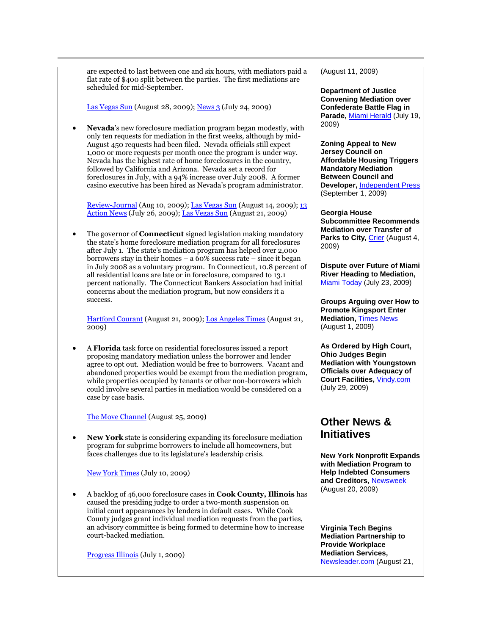are expected to last between one and six hours, with mediators paid a flat rate of \$400 split between the parties. The first mediations are scheduled for mid-September.

[Las Vegas Sun](http://tinyurl.com/nsf4u7) (August 28, 2009)[; News 3](http://www.kvbc.com/Global/story.asp?S=10787670) (July 24, 2009)

 **Nevada**'s new foreclosure mediation program began modestly, with only ten requests for mediation in the first weeks, although by mid-August 450 requests had been filed. Nevada officials still expect 1,000 or more requests per month once the program is under way. Nevada has the highest rate of home foreclosures in the country, followed by California and Arizona. Nevada set a record for foreclosures in July, with a 94% increase over July 2008. A former casino executive has been hired as Nevada's program administrator.

[Review-Journal](http://www.lvrj.com/news/52871492.html) (Aug 10, 2009)[; Las Vegas Sun](http://www.lasvegassun.com/news/2009/aug/14/state-closer-launching-foreclosure-mediation-progr/) (August 14, 2009); [13](http://www.ktnv.com/Global/story.asp?S=10793070)  [Action News](http://www.ktnv.com/Global/story.asp?S=10793070) (July 26, 2009); [Las Vegas Sun](http://tinyurl.com/mgwvxm) (August 21, 2009)

 The governor of **Connecticut** signed legislation making mandatory the state's home foreclosure mediation program for all foreclosures after July 1. The state's mediation program has helped over 2,000 borrowers stay in their homes – a 60% success rate – since it began in July 2008 as a voluntary program. In Connecticut, 10.8 percent of all residential loans are late or in foreclosure, compared to 13.1 percent nationally. The Connecticut Bankers Association had initial concerns about the mediation program, but now considers it a success.

[Hartford Courant](http://tinyurl.com/lrhksa) (August 21, 2009); [Los Angeles Times](http://tinyurl.com/lge4sw) (August 21, 2009)

 A **Florida** task force on residential foreclosures issued a report proposing mandatory mediation unless the borrower and lender agree to opt out. Mediation would be free to borrowers. Vacant and abandoned properties would be exempt from the mediation program, while properties occupied by tenants or other non-borrowers which could involve several parties in mediation would be considered on a case by case basis.

[The Move Channel](http://tinyurl.com/lp79lk) (August 25, 2009)

 **New York** state is considering expanding its foreclosure mediation program for subprime borrowers to include all homeowners, but faces challenges due to its legislature's leadership crisis.

[New York Times](http://www.nytimes.com/2009/07/12/realestate/12mort.html?_r=1) (July 10, 2009)

 A backlog of 46,000 foreclosure cases in **Cook County, Illinois** has caused the presiding judge to order a two-month suspension on initial court appearances by lenders in default cases. While Cook County judges grant individual mediation requests from the parties, an advisory committee is being formed to determine how to increase court-backed mediation.

[Progress Illinois](http://progressillinois.com/2009/7/1/foreclosure-mediation-next-level) (July 1, 2009)

(August 11, 2009)

**Department of Justice Convening Mediation over Confederate Battle Flag in**  Parade, [Miami Herald](http://tinyurl.com/knjrtv) (July 19, 2009)

**Zoning Appeal to New Jersey Council on Affordable Housing Triggers Mandatory Mediation Between Council and Developer,** [Independent Press](http://www.nj.com/independentpress/index.ssf/2009/09/new_providence_linde_group_bra.html) (September 1, 2009)

**Georgia House Subcommittee Recommends Mediation over Transfer of**  Parks to City, [Crier](http://www.thecrier.net/articles/2009/08/04/front/aparks.txt) (August 4, 2009)

**Dispute over Future of Miami River Heading to Mediation,**  [Miami Today](http://www.miamitodaynews.com/news/090723/story4.shtml) (July 23, 2009)

**Groups Arguing over How to Promote Kingsport Enter Mediation,** [Times News](http://www.timesnews.net/article.php?id=9015708) (August 1, 2009)

**As Ordered by High Court, Ohio Judges Begin Mediation with Youngstown Officials over Adequacy of Court Facilities,** [Vindy.com](http://tinyurl.com/loy654) (July 29, 2009)

#### **Other News & Initiatives**

**New York Nonprofit Expands with Mediation Program to Help Indebted Consumers and Creditors,** [Newsweek](http://www.newsweek.com/id/212818) (August 20, 2009)

**Virginia Tech Begins Mediation Partnership to Provide Workplace Mediation Services,**  [Newsleader.com](http://tinyurl.com/mmffrm) (August 21,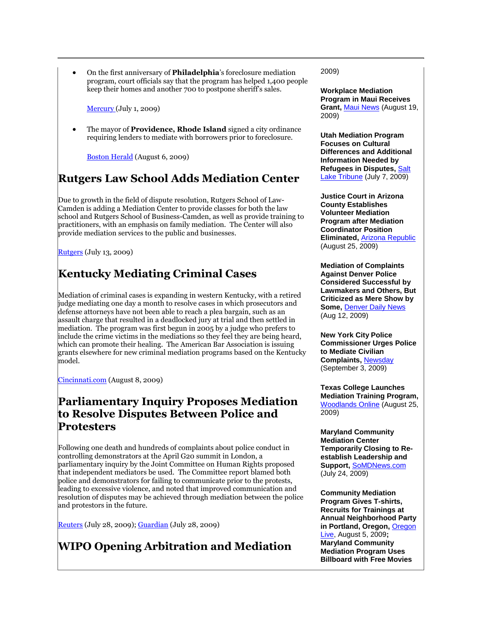On the first anniversary of **Philadelphia**'s foreclosure mediation program, court officials say that the program has helped 1,400 people keep their homes and another 700 to postpone sheriff's sales.

**Mercury** (July 1, 2009)

 The mayor of **Providence, Rhode Island** signed a city ordinance requiring lenders to mediate with borrowers prior to foreclosure.

[Boston Herald](http://tinyurl.com/nnvgux) (August 6, 2009)

#### **Rutgers Law School Adds Mediation Center**

Due to growth in the field of dispute resolution, Rutgers School of Law-Camden is adding a Mediation Center to provide classes for both the law school and Rutgers School of Business-Camden, as well as provide training to practitioners, with an emphasis on family mediation. The Center will also provide mediation services to the public and businesses.

[Rutgers](http://tinyurl.com/mcywsm) (July 13, 2009)

## **Kentucky Mediating Criminal Cases**

Mediation of criminal cases is expanding in western Kentucky, with a retired judge mediating one day a month to resolve cases in which prosecutors and defense attorneys have not been able to reach a plea bargain, such as an assault charge that resulted in a deadlocked jury at trial and then settled in mediation. The program was first begun in 2005 by a judge who prefers to include the crime victims in the mediations so they feel they are being heard, which can promote their healing. The American Bar Association is issuing grants elsewhere for new criminal mediation programs based on the Kentucky model.

[Cincinnati.com](http://news.cincinnati.com/article/20090808/NEWS0103/908090339/-1/today/Mediation+helps+move+cases) (August 8, 2009)

#### **Parliamentary Inquiry Proposes Mediation to Resolve Disputes Between Police and Protesters**

Following one death and hundreds of complaints about police conduct in controlling demonstrators at the April G20 summit in London, a parliamentary inquiry by the Joint Committee on Human Rights proposed that independent mediators be used. The Committee report blamed both police and demonstrators for failing to communicate prior to the protests, leading to excessive violence, and noted that improved communication and resolution of disputes may be achieved through mediation between the police and protestors in the future.

<mark>[Reuters](http://uk.reuters.com/article/idUKTRE56R11U20090728)</mark> (July 28, 2009); <u>Guardian</u> (July 28, 2009)

# **WIPO Opening Arbitration and Mediation**

2009)

**Workplace Mediation Program in Maui Receives Grant,** [Maui News](http://www.mauinews.com/page/content.detail/id/522533.html?nav=15) (August 19, 2009)

**Utah Mediation Program Focuses on Cultural Differences and Additional Information Needed by Refugees in Disputes,** [Salt](http://www.sltrib.com/news/ci_12763940)  [Lake Tribune](http://www.sltrib.com/news/ci_12763940) (July 7, 2009)

**Justice Court in Arizona County Establishes Volunteer Mediation Program after Mediation Coordinator Position Eliminated,** [Arizona Republic](file:///C:/Users/Keith/Documents/Mediation/1) (August 25, 2009)

**Mediation of Complaints Against Denver Police Considered Successful by Lawmakers and Others, But Criticized as Mere Show by Some,** [Denver Daily News](http://www.thedenverdailynews.com/article.php?aID=5313) (Aug 12, 2009)

**New York City Police Commissioner Urges Police to Mediate Civilian Complaints,** [Newsday](http://tinyurl.com/lemh4p) (September 3, 2009)

**Texas College Launches Mediation Training Program,**  [Woodlands Online](http://woodlandsonline.com/npps/story.cfm?nppage=32103) (August 25, 2009)

**Maryland Community Mediation Center Temporarily Closing to Reestablish Leadership and Support,** [SoMDNews.com](http://tinyurl.com/mcwhrf) (July 24, 2009)

**Community Mediation Program Gives T-shirts, Recruits for Trainings at Annual Neighborhood Party in Portland, Oregon,** [Oregon](http://tinyurl.com/lz993h)  [Live,](http://tinyurl.com/lz993h) August 5, 2009**; Maryland Community Mediation Program Uses Billboard with Free Movies**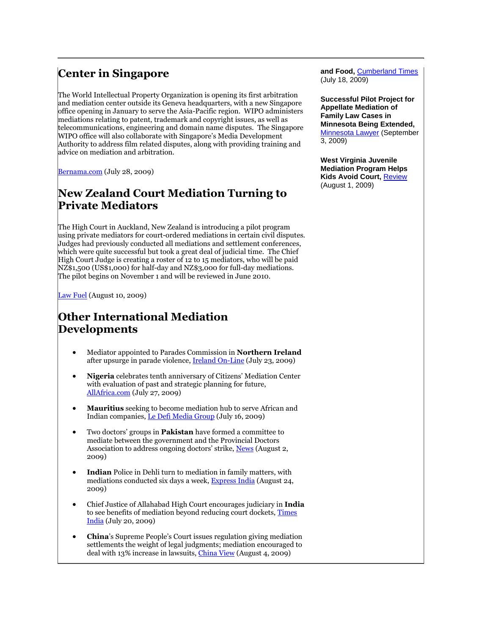# **Center in Singapore**

The World Intellectual Property Organization is opening its first arbitration and mediation center outside its Geneva headquarters, with a new Singapore office opening in January to serve the Asia-Pacific region. WIPO administers mediations relating to patent, trademark and copyright issues, as well as telecommunications, engineering and domain name disputes. The Singapore WIPO office will also collaborate with Singapore's Media Development Authority to address film related disputes, along with providing training and advice on mediation and arbitration.

[Bernama.com](http://www.bernama.com.my/bernama/v3/news_lite.php?id=428497) (July 28, 2009)

#### **New Zealand Court Mediation Turning to Private Mediators**

The High Court in Auckland, New Zealand is introducing a pilot program using private mediators for court-ordered mediations in certain civil disputes. Judges had previously conducted all mediations and settlement conferences, which were quite successful but took a great deal of judicial time. The Chief High Court Judge is creating a roster of 12 to 15 mediators, who will be paid NZ\$1,500 (US\$1,000) for half-day and NZ\$3,000 for full-day mediations. The pilot begins on November 1 and will be reviewed in June 2010.

[Law Fuel](http://www.lawfuel.co.nz/releases/release.asp?NewsID=1395) (August 10, 2009)

#### **Other International Mediation Developments**

- Mediator appointed to Parades Commission in **Northern Ireland** after upsurge in parade violence[, Ireland On-Line](http://tinyurl.com/lsdd2g) (July 23, 2009)
- **Nigeria** celebrates tenth anniversary of Citizens' Mediation Center with evaluation of past and strategic planning for future, [AllAfrica.com](http://allafrica.com/stories/200907280163.html) (July 27, 2009)
- **Mauritius** seeking to become mediation hub to serve African and Indian companies[, Le Defi Media Group](http://www.defimedia.info/articles/1927/1/Mauritius-invests-in-mediation/Page1.html) (July 16, 2009)
- Two doctors' groups in **Pakistan** have formed a committee to mediate between the government and the Provincial Doctors Association to address ongoing doctors' strike, [News](http://www.thenews.com.pk/daily_detail.asp?id=191120) (August 2, 2009)
- **Indian** Police in Dehli turn to mediation in family matters, with mediations conducted six days a week, **Express India** (August 24, 2009)
- Chief Justice of Allahabad High Court encourages judiciary in **India** to see benefits of mediation beyond reducing court dockets, [Times](http://tinyurl.com/llqywg)  [India](http://tinyurl.com/llqywg) (July 20, 2009)
- **China**'s Supreme People's Court issues regulation giving mediation settlements the weight of legal judgments; mediation encouraged to deal with 13% increase in lawsuits, *China View* (August 4, 2009)

**and Food,** [Cumberland Times](http://www.times-news.com/local/local_story_199233750.html) (July 18, 2009)

**Successful Pilot Project for Appellate Mediation of Family Law Cases in Minnesota Being Extended,**  [Minnesota Lawyer](http://www.minnlawyer.com/article.cfm/2009/09/07/Appellate-family-law-mediation-converting-the-skeptics) (September 3, 2009)

**West Virginia Juvenile Mediation Program Helps Kids Avoid Court,** [Review](http://tinyurl.com/nh8tzu) (August 1, 2009)